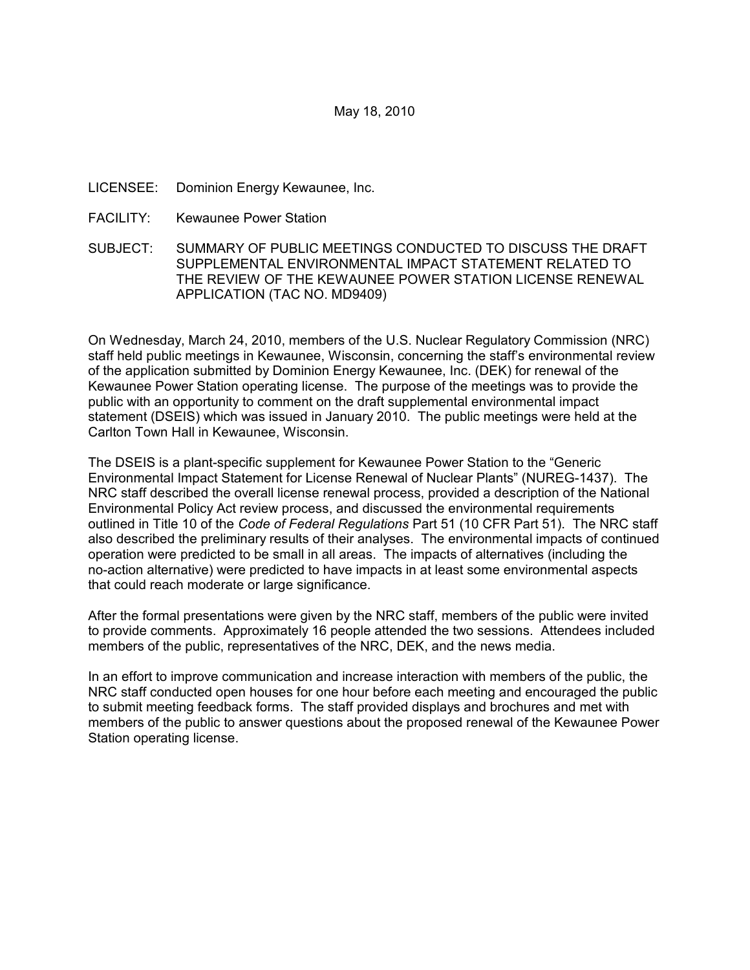# May 18, 2010

# LICENSEE: Dominion Energy Kewaunee, Inc.

FACILITY: Kewaunee Power Station

SUBJECT: SUMMARY OF PUBLIC MEETINGS CONDUCTED TO DISCUSS THE DRAFT SUPPLEMENTAL ENVIRONMENTAL IMPACT STATEMENT RELATED TO THE REVIEW OF THE KEWAUNEE POWER STATION LICENSE RENEWAL APPLICATION (TAC NO. MD9409)

On Wednesday, March 24, 2010, members of the U.S. Nuclear Regulatory Commission (NRC) staff held public meetings in Kewaunee, Wisconsin, concerning the staff's environmental review of the application submitted by Dominion Energy Kewaunee, Inc. (DEK) for renewal of the Kewaunee Power Station operating license. The purpose of the meetings was to provide the public with an opportunity to comment on the draft supplemental environmental impact statement (DSEIS) which was issued in January 2010. The public meetings were held at the Carlton Town Hall in Kewaunee, Wisconsin.

The DSEIS is a plant-specific supplement for Kewaunee Power Station to the "Generic Environmental Impact Statement for License Renewal of Nuclear Plants" (NUREG-1437). The NRC staff described the overall license renewal process, provided a description of the National Environmental Policy Act review process, and discussed the environmental requirements outlined in Title 10 of the *Code of Federal Regulations* Part 51 (10 CFR Part 51). The NRC staff also described the preliminary results of their analyses. The environmental impacts of continued operation were predicted to be small in all areas. The impacts of alternatives (including the no-action alternative) were predicted to have impacts in at least some environmental aspects that could reach moderate or large significance.

After the formal presentations were given by the NRC staff, members of the public were invited to provide comments. Approximately 16 people attended the two sessions. Attendees included members of the public, representatives of the NRC, DEK, and the news media.

In an effort to improve communication and increase interaction with members of the public, the NRC staff conducted open houses for one hour before each meeting and encouraged the public to submit meeting feedback forms. The staff provided displays and brochures and met with members of the public to answer questions about the proposed renewal of the Kewaunee Power Station operating license.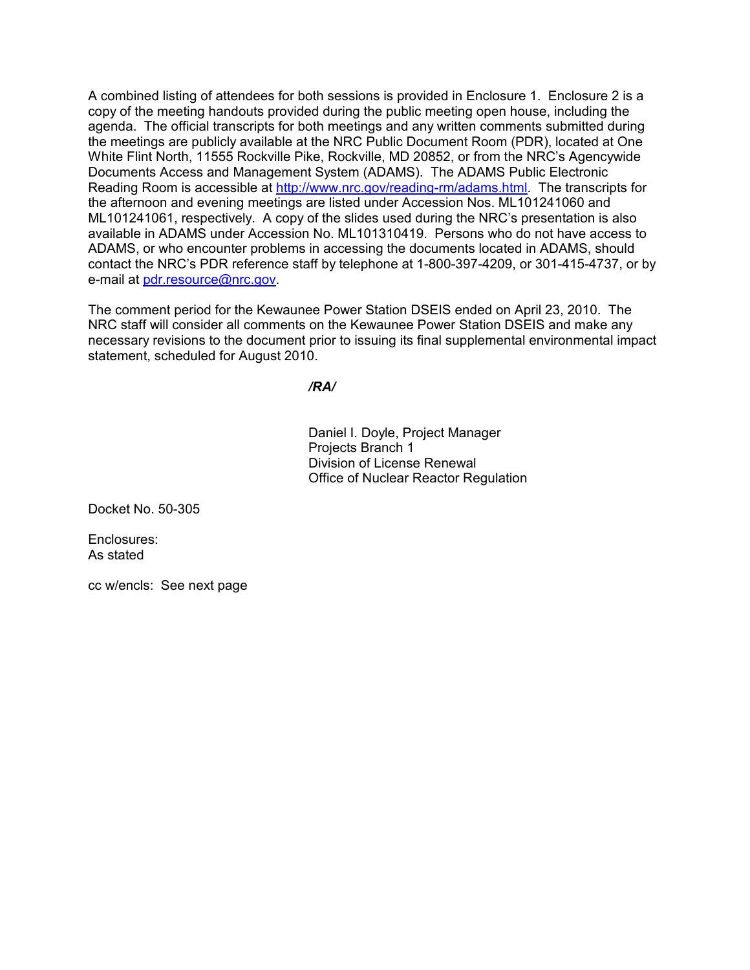A combined listing of attendees for both sessions is provided in Enclosure 1. Enclosure 2 is a copy of the meeting handouts provided during the public meeting open house, including the agenda. The official transcripts for both meetings and any written comments submitted during the meetings are publicly available at the NRC Public Document Room (PDR), located at One White Flint North, 11555 Rockville Pike, Rockville, MD 20852, or from the NRC's Agencywide Documents Access and Management System (ADAMS). The ADAMS Public Electronic Reading Room is accessible at http://www.nrc.gov/reading-rm/adams.html. The transcripts for the afternoon and evening meetings are listed under Accession Nos. ML101241060 and ML101241061, respectively. A copy of the slides used during the NRC's presentation is also available in ADAMS under Accession No. ML101310419. Persons who do not have access to ADAMS, or who encounter problems in accessing the documents located in ADAMS, should contact the NRC's PDR reference staff by telephone at 1-800-397-4209, or 301-415-4737, or by e-mail at pdr.resource@nrc.gov.

The comment period for the Kewaunee Power Station DSEIS ended on April 23, 2010. The NRC staff will consider all comments on the Kewaunee Power Station DSEIS and make any necessary revisions to the document prior to issuing its final supplemental environmental impact statement, scheduled for August 2010.

*/RA/* 

Daniel I. Doyle, Project Manager Projects Branch 1 Division of License Renewal Office of Nuclear Reactor Regulation

Docket No. 50-305

Enclosures: As stated

cc w/encls: See next page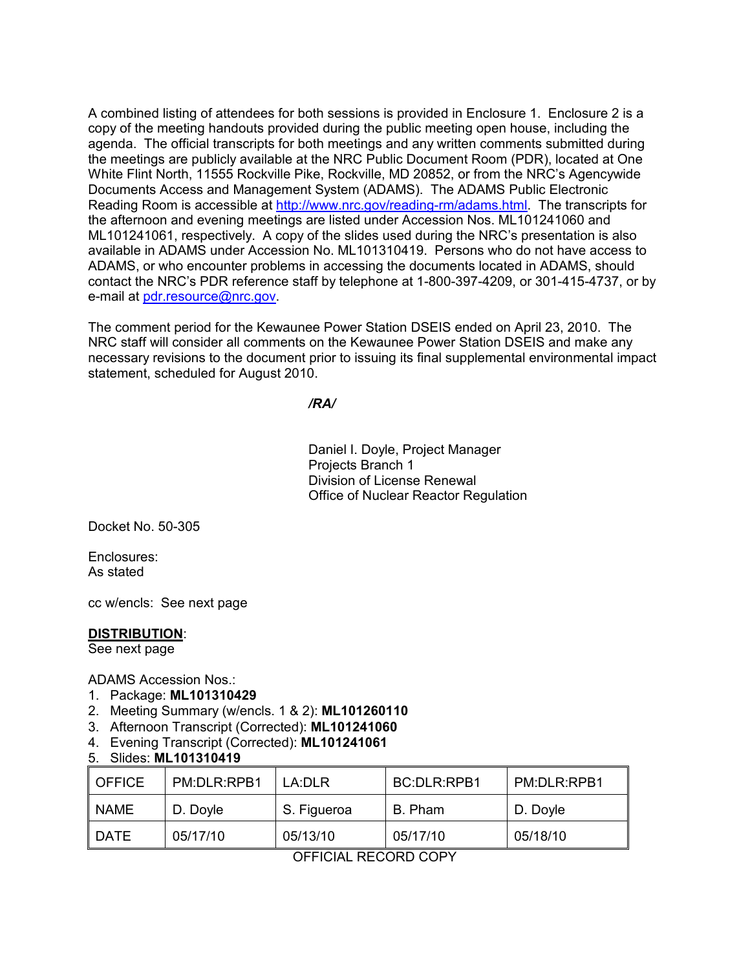A combined listing of attendees for both sessions is provided in Enclosure 1. Enclosure 2 is a copy of the meeting handouts provided during the public meeting open house, including the agenda. The official transcripts for both meetings and any written comments submitted during the meetings are publicly available at the NRC Public Document Room (PDR), located at One White Flint North, 11555 Rockville Pike, Rockville, MD 20852, or from the NRC's Agencywide Documents Access and Management System (ADAMS). The ADAMS Public Electronic Reading Room is accessible at http://www.nrc.gov/reading-rm/adams.html. The transcripts for the afternoon and evening meetings are listed under Accession Nos. ML101241060 and ML101241061, respectively. A copy of the slides used during the NRC's presentation is also available in ADAMS under Accession No. ML101310419. Persons who do not have access to ADAMS, or who encounter problems in accessing the documents located in ADAMS, should contact the NRC's PDR reference staff by telephone at 1-800-397-4209, or 301-415-4737, or by e-mail at pdr.resource@nrc.gov.

The comment period for the Kewaunee Power Station DSEIS ended on April 23, 2010. The NRC staff will consider all comments on the Kewaunee Power Station DSEIS and make any necessary revisions to the document prior to issuing its final supplemental environmental impact statement, scheduled for August 2010.

*/RA/* 

Daniel I. Doyle, Project Manager Projects Branch 1 Division of License Renewal Office of Nuclear Reactor Regulation

Docket No. 50-305

Enclosures: As stated

cc w/encls: See next page

## **DISTRIBUTION**:

See next page

ADAMS Accession Nos.:

- 1. Package: **ML101310429**
- 2. Meeting Summary (w/encls. 1 & 2): **ML101260110**
- 3. Afternoon Transcript (Corrected): **ML101241060**
- 4. Evening Transcript (Corrected): **ML101241061**
- 5. Slides: **ML101310419**

| I OFFICE | PM:DLR:RPB1 | I A·DI R    | <b>BC:DLR:RPB1</b> | PM:DLR:RPB1 |
|----------|-------------|-------------|--------------------|-------------|
| I NAME   | D. Doyle    | S. Figueroa | B. Pham            | D. Doyle    |
| I DATE   | 05/17/10    | 05/13/10    | 05/17/10           | 05/18/10    |

OFFICIAL RECORD COPY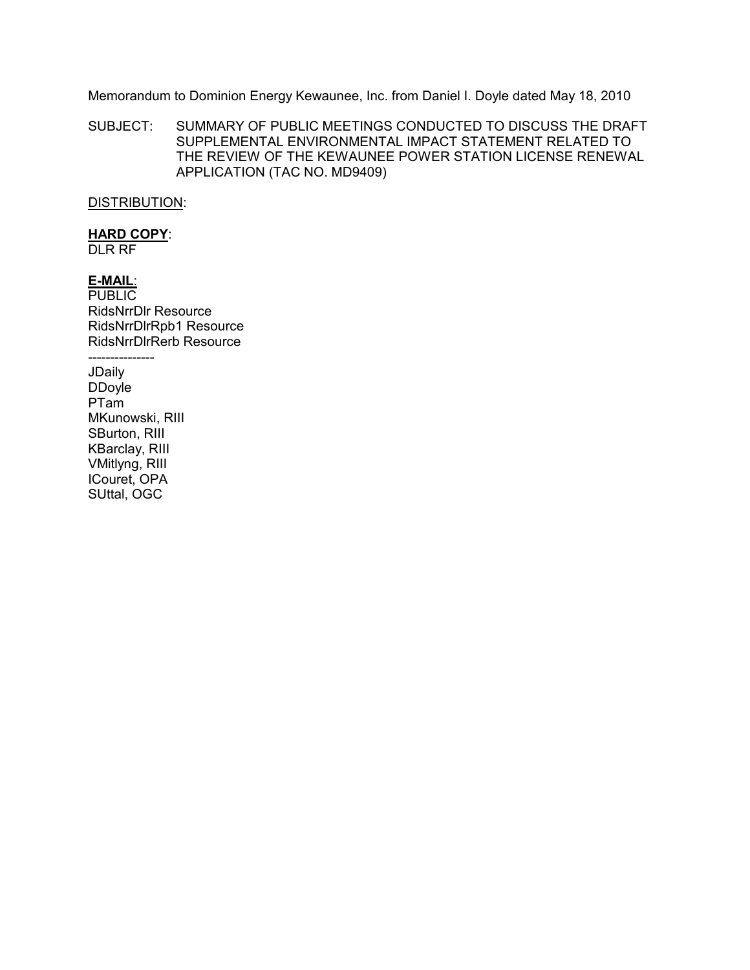Memorandum to Dominion Energy Kewaunee, Inc. from Daniel I. Doyle dated May 18, 2010

SUBJECT: SUMMARY OF PUBLIC MEETINGS CONDUCTED TO DISCUSS THE DRAFT SUPPLEMENTAL ENVIRONMENTAL IMPACT STATEMENT RELATED TO THE REVIEW OF THE KEWAUNEE POWER STATION LICENSE RENEWAL APPLICATION (TAC NO. MD9409)

## DISTRIBUTION:

# **HARD COPY**:

DLR RF

**E-MAIL**: PUBLIC RidsNrrDlr Resource RidsNrrDlrRpb1 Resource RidsNrrDlrRerb Resource

--------------- JDaily DDoyle PTam MKunowski, RIII SBurton, RIII KBarclay, RIII VMitlyng, RIII ICouret, OPA SUttal, OGC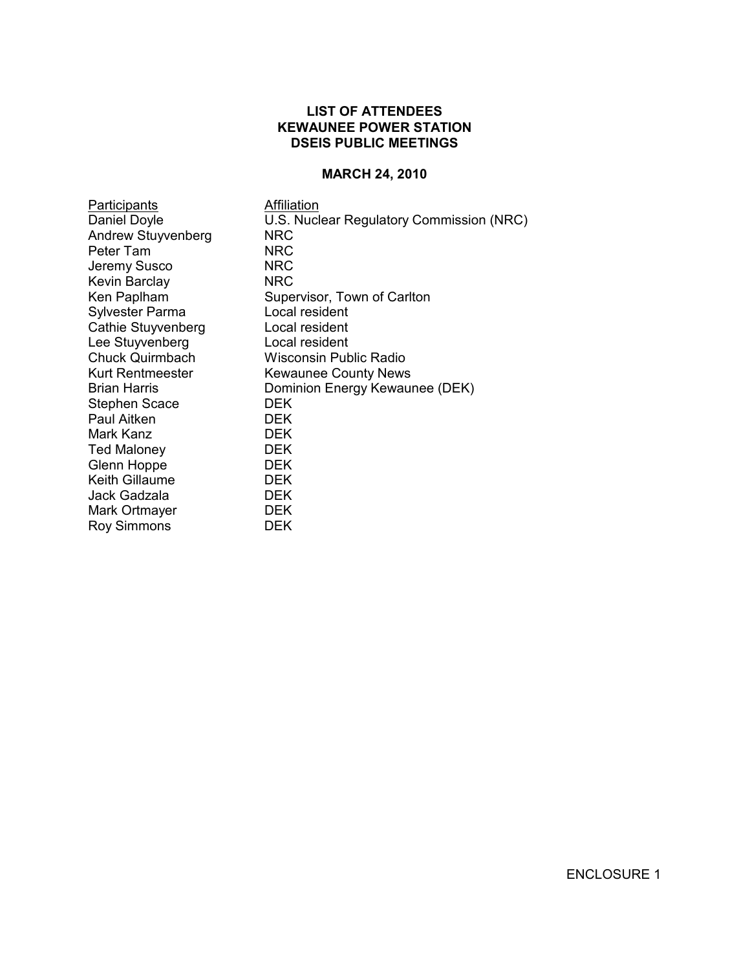# **LIST OF ATTENDEES KEWAUNEE POWER STATION DSEIS PUBLIC MEETINGS**

#### **MARCH 24, 2010**

**Participants Affiliation** Andrew Stuyvenberg NRC<br>
Peter Tam NRC Peter Tam Jeremy Susco NRC Kevin Barclay NRC Sylvester Parma Local resident Cathie Stuyvenberg Local resident Lee Stuyvenberg Local resident Stephen Scace DEK<br>
Paul Aitken DEK Paul Aitken Mark Kanz DEK Ted Maloney DEK Glenn Hoppe Keith Gillaume **DEK** Jack Gadzala DEK Mark Ortmayer DEK Roy Simmons DEK

Daniel Doyle U.S. Nuclear Regulatory Commission (NRC) Supervisor, Town of Carlton Chuck Quirmbach Wisconsin Public Radio Kurt Rentmeester Kewaunee County News Brian Harris **Dominion Energy Kewaunee (DEK)**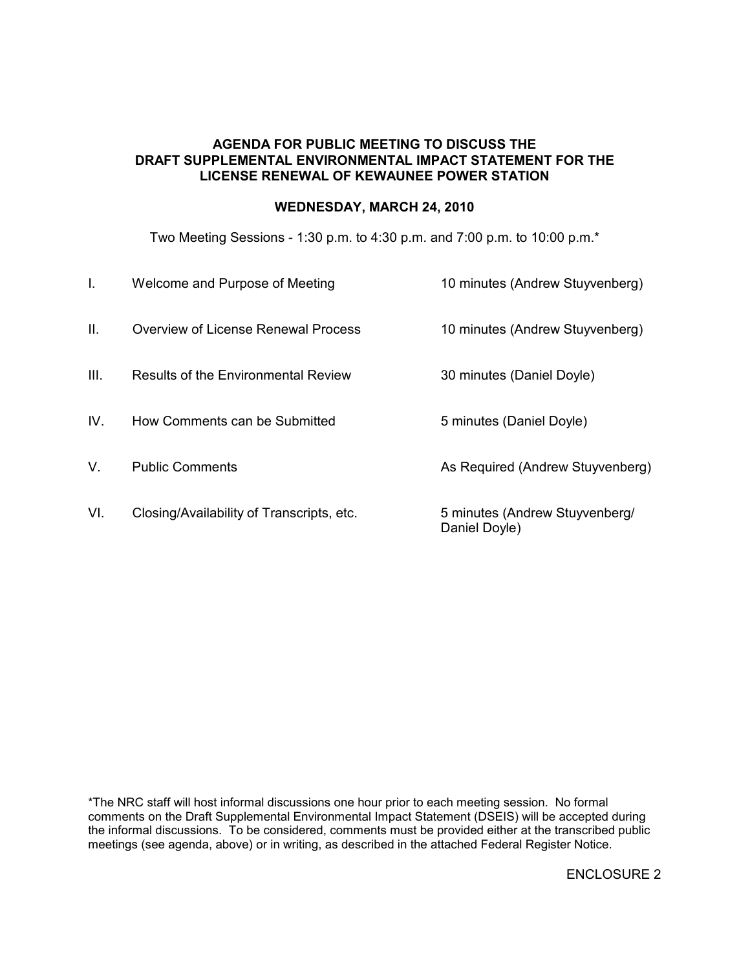# **AGENDA FOR PUBLIC MEETING TO DISCUSS THE DRAFT SUPPLEMENTAL ENVIRONMENTAL IMPACT STATEMENT FOR THE LICENSE RENEWAL OF KEWAUNEE POWER STATION**

# **WEDNESDAY, MARCH 24, 2010**

Two Meeting Sessions - 1:30 p.m. to 4:30 p.m. and 7:00 p.m. to 10:00 p.m.\*

| I.   | Welcome and Purpose of Meeting             | 10 minutes (Andrew Stuyvenberg)                 |
|------|--------------------------------------------|-------------------------------------------------|
| Ш.   | Overview of License Renewal Process        | 10 minutes (Andrew Stuyvenberg)                 |
| III. | <b>Results of the Environmental Review</b> | 30 minutes (Daniel Doyle)                       |
| IV.  | How Comments can be Submitted              | 5 minutes (Daniel Doyle)                        |
| V.   | <b>Public Comments</b>                     | As Required (Andrew Stuyvenberg)                |
| VI.  | Closing/Availability of Transcripts, etc.  | 5 minutes (Andrew Stuyvenberg/<br>Daniel Doyle) |

\*The NRC staff will host informal discussions one hour prior to each meeting session. No formal comments on the Draft Supplemental Environmental Impact Statement (DSEIS) will be accepted during the informal discussions. To be considered, comments must be provided either at the transcribed public meetings (see agenda, above) or in writing, as described in the attached Federal Register Notice.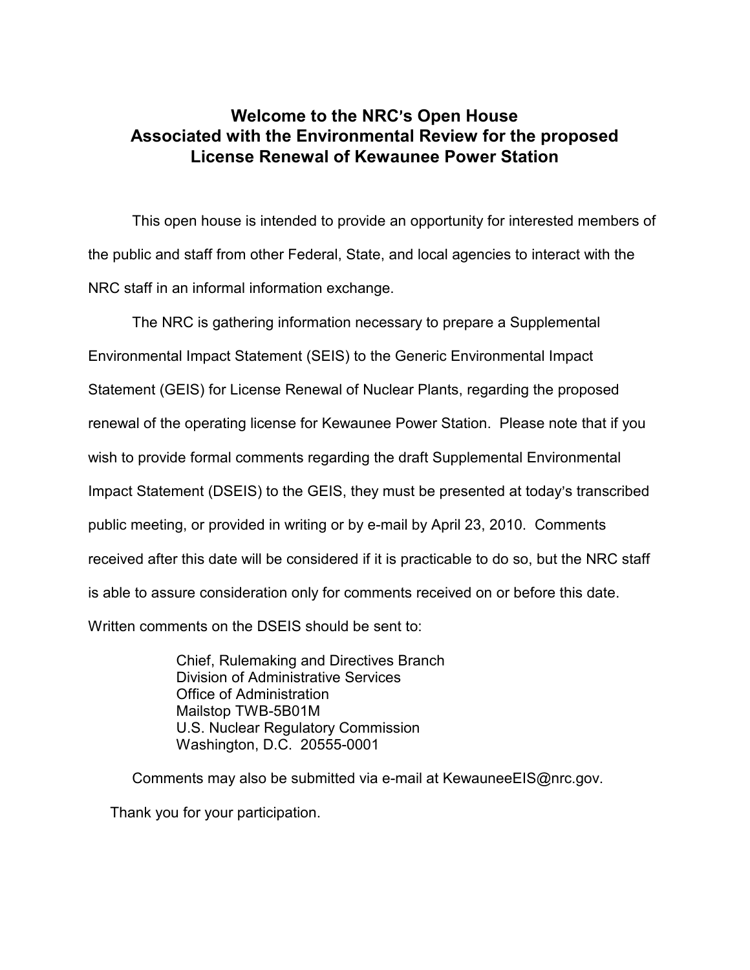# **Welcome to the NRC**=**s Open House Associated with the Environmental Review for the proposed License Renewal of Kewaunee Power Station**

This open house is intended to provide an opportunity for interested members of the public and staff from other Federal, State, and local agencies to interact with the NRC staff in an informal information exchange.

The NRC is gathering information necessary to prepare a Supplemental Environmental Impact Statement (SEIS) to the Generic Environmental Impact Statement (GEIS) for License Renewal of Nuclear Plants, regarding the proposed renewal of the operating license for Kewaunee Power Station. Please note that if you wish to provide formal comments regarding the draft Supplemental Environmental Impact Statement (DSEIS) to the GEIS, they must be presented at today's transcribed public meeting, or provided in writing or by e-mail by April 23, 2010. Comments received after this date will be considered if it is practicable to do so, but the NRC staff is able to assure consideration only for comments received on or before this date. Written comments on the DSEIS should be sent to:

> Chief, Rulemaking and Directives Branch Division of Administrative Services Office of Administration Mailstop TWB-5B01M U.S. Nuclear Regulatory Commission Washington, D.C. 20555-0001

Comments may also be submitted via e-mail at KewauneeEIS@nrc.gov. Thank you for your participation.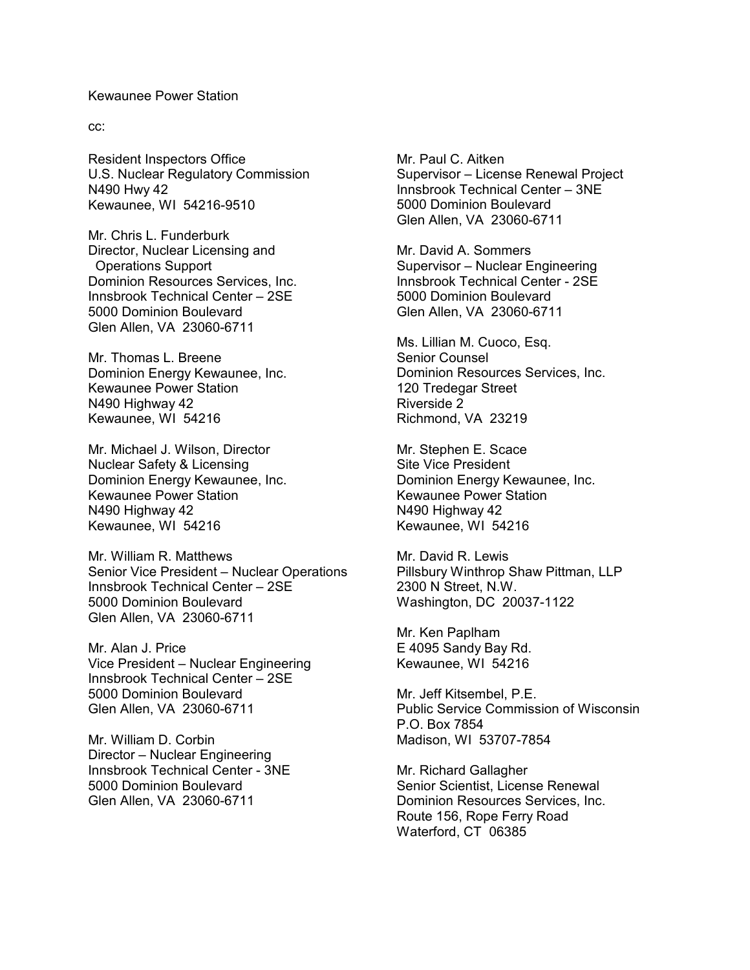#### Kewaunee Power Station

cc:

Resident Inspectors Office U.S. Nuclear Regulatory Commission N490 Hwy 42 Kewaunee, WI 54216-9510

Mr. Chris L. Funderburk Director, Nuclear Licensing and Operations Support Dominion Resources Services, Inc. Innsbrook Technical Center – 2SE 5000 Dominion Boulevard Glen Allen, VA 23060-6711

Mr. Thomas L. Breene Dominion Energy Kewaunee, Inc. Kewaunee Power Station N490 Highway 42 Kewaunee, WI 54216

Mr. Michael J. Wilson, Director Nuclear Safety & Licensing Dominion Energy Kewaunee, Inc. Kewaunee Power Station N490 Highway 42 Kewaunee, WI 54216

Mr. William R. Matthews Senior Vice President – Nuclear Operations Innsbrook Technical Center – 2SE 5000 Dominion Boulevard Glen Allen, VA 23060-6711

Mr. Alan J. Price Vice President – Nuclear Engineering Innsbrook Technical Center – 2SE 5000 Dominion Boulevard Glen Allen, VA 23060-6711

Mr. William D. Corbin Director – Nuclear Engineering Innsbrook Technical Center - 3NE 5000 Dominion Boulevard Glen Allen, VA 23060-6711

Mr. Paul C. Aitken Supervisor – License Renewal Project Innsbrook Technical Center – 3NE 5000 Dominion Boulevard Glen Allen, VA 23060-6711

Mr. David A. Sommers Supervisor – Nuclear Engineering Innsbrook Technical Center - 2SE 5000 Dominion Boulevard Glen Allen, VA 23060-6711

Ms. Lillian M. Cuoco, Esq. Senior Counsel Dominion Resources Services, Inc. 120 Tredegar Street Riverside 2 Richmond, VA 23219

Mr. Stephen E. Scace Site Vice President Dominion Energy Kewaunee, Inc. Kewaunee Power Station N490 Highway 42 Kewaunee, WI 54216

Mr. David R. Lewis Pillsbury Winthrop Shaw Pittman, LLP 2300 N Street, N.W. Washington, DC 20037-1122

Mr. Ken Paplham E 4095 Sandy Bay Rd. Kewaunee, WI 54216

Mr. Jeff Kitsembel, P.E. Public Service Commission of Wisconsin P.O. Box 7854 Madison, WI 53707-7854

Mr. Richard Gallagher Senior Scientist, License Renewal Dominion Resources Services, Inc. Route 156, Rope Ferry Road Waterford, CT 06385